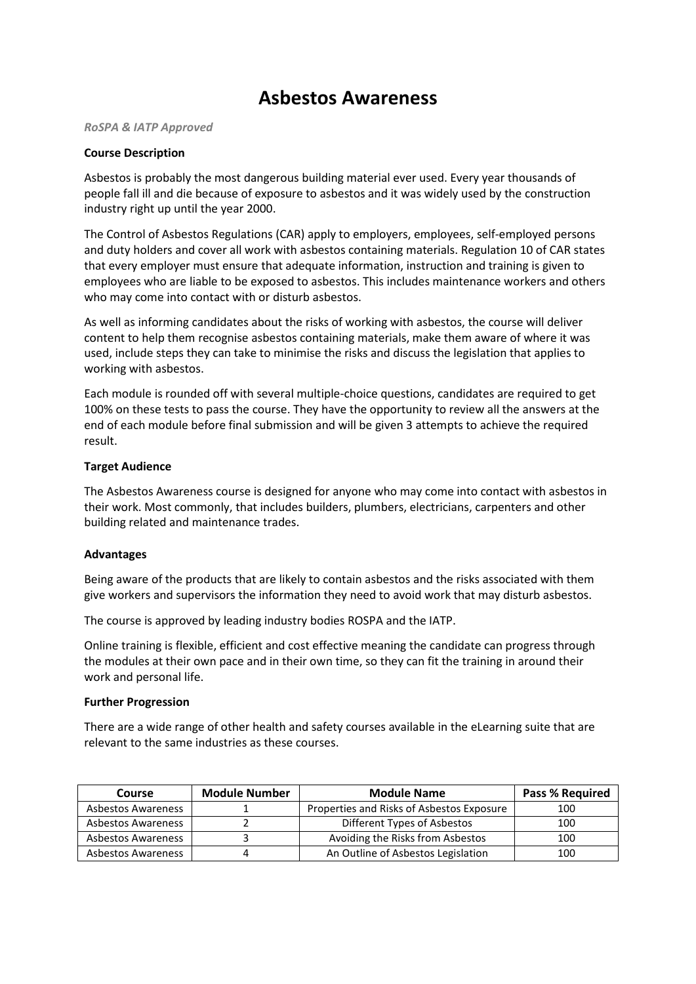# **Asbestos Awareness**

#### *RoSPA & IATP Approved*

## **Course Description**

Asbestos is probably the most dangerous building material ever used. Every year thousands of people fall ill and die because of exposure to asbestos and it was widely used by the construction industry right up until the year 2000.

The Control of Asbestos Regulations (CAR) apply to employers, employees, self-employed persons and duty holders and cover all work with asbestos containing materials. Regulation 10 of CAR states that every employer must ensure that adequate information, instruction and training is given to employees who are liable to be exposed to asbestos. This includes maintenance workers and others who may come into contact with or disturb asbestos.

As well as informing candidates about the risks of working with asbestos, the course will deliver content to help them recognise asbestos containing materials, make them aware of where it was used, include steps they can take to minimise the risks and discuss the legislation that applies to working with asbestos.

Each module is rounded off with several multiple-choice questions, candidates are required to get 100% on these tests to pass the course. They have the opportunity to review all the answers at the end of each module before final submission and will be given 3 attempts to achieve the required result.

### **Target Audience**

The Asbestos Awareness course is designed for anyone who may come into contact with asbestos in their work. Most commonly, that includes builders, plumbers, electricians, carpenters and other building related and maintenance trades.

# **Advantages**

Being aware of the products that are likely to contain asbestos and the risks associated with them give workers and supervisors the information they need to avoid work that may disturb asbestos.

The course is approved by leading industry bodies ROSPA and the IATP.

Online training is flexible, efficient and cost effective meaning the candidate can progress through the modules at their own pace and in their own time, so they can fit the training in around their work and personal life.

#### **Further Progression**

There are a wide range of other health and safety courses available in the eLearning suite that are relevant to the same industries as these courses.

| Course                    | <b>Module Number</b> | <b>Module Name</b>                        | Pass % Required |
|---------------------------|----------------------|-------------------------------------------|-----------------|
| <b>Asbestos Awareness</b> |                      | Properties and Risks of Asbestos Exposure | 100             |
| <b>Asbestos Awareness</b> |                      | Different Types of Asbestos               | 100             |
| <b>Asbestos Awareness</b> |                      | Avoiding the Risks from Asbestos          | 100             |
| <b>Asbestos Awareness</b> |                      | An Outline of Asbestos Legislation        | 100             |